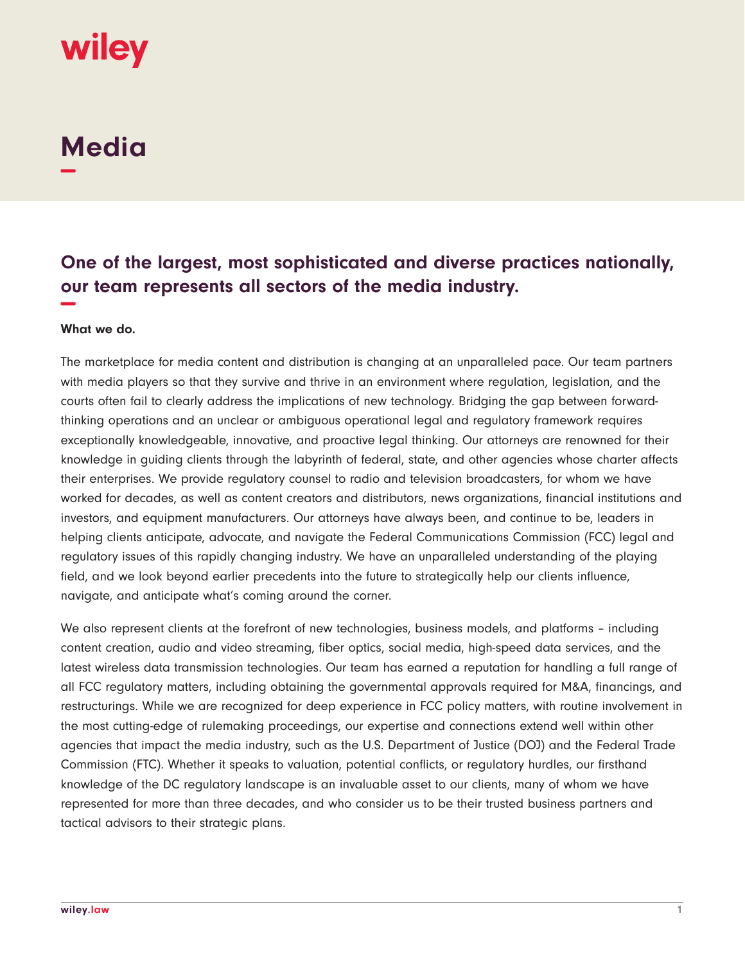# wiley

## **Media −**

### **One of the largest, most sophisticated and diverse practices nationally, our team represents all sectors of the media industry. −**

#### **What we do.**

The marketplace for media content and distribution is changing at an unparalleled pace. Our team partners with media players so that they survive and thrive in an environment where regulation, legislation, and the courts often fail to clearly address the implications of new technology. Bridging the gap between forwardthinking operations and an unclear or ambiguous operational legal and regulatory framework requires exceptionally knowledgeable, innovative, and proactive legal thinking. Our attorneys are renowned for their knowledge in guiding clients through the labyrinth of federal, state, and other agencies whose charter affects their enterprises. We provide regulatory counsel to radio and television broadcasters, for whom we have worked for decades, as well as content creators and distributors, news organizations, financial institutions and investors, and equipment manufacturers. Our attorneys have always been, and continue to be, leaders in helping clients anticipate, advocate, and navigate the Federal Communications Commission (FCC) legal and regulatory issues of this rapidly changing industry. We have an unparalleled understanding of the playing field, and we look beyond earlier precedents into the future to strategically help our clients influence, navigate, and anticipate what's coming around the corner.

We also represent clients at the forefront of new technologies, business models, and platforms – including content creation, audio and video streaming, fiber optics, social media, high-speed data services, and the latest wireless data transmission technologies. Our team has earned a reputation for handling a full range of all FCC regulatory matters, including obtaining the governmental approvals required for M&A, financings, and restructurings. While we are recognized for deep experience in FCC policy matters, with routine involvement in the most cutting-edge of rulemaking proceedings, our expertise and connections extend well within other agencies that impact the media industry, such as the U.S. Department of Justice (DOJ) and the Federal Trade Commission (FTC). Whether it speaks to valuation, potential conflicts, or regulatory hurdles, our firsthand knowledge of the DC regulatory landscape is an invaluable asset to our clients, many of whom we have represented for more than three decades, and who consider us to be their trusted business partners and tactical advisors to their strategic plans.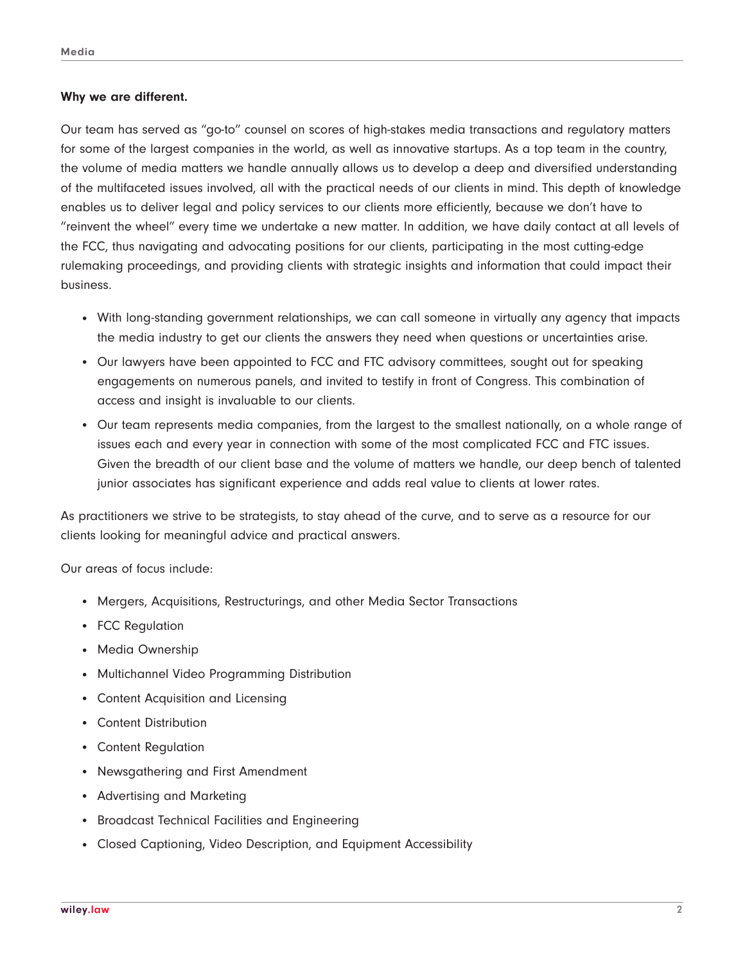#### **Why we are different.**

Our team has served as "go-to" counsel on scores of high-stakes media transactions and regulatory matters for some of the largest companies in the world, as well as innovative startups. As a top team in the country, the volume of media matters we handle annually allows us to develop a deep and diversified understanding of the multifaceted issues involved, all with the practical needs of our clients in mind. This depth of knowledge enables us to deliver legal and policy services to our clients more efficiently, because we don't have to "reinvent the wheel" every time we undertake a new matter. In addition, we have daily contact at all levels of the FCC, thus navigating and advocating positions for our clients, participating in the most cutting-edge rulemaking proceedings, and providing clients with strategic insights and information that could impact their business.

- With long-standing government relationships, we can call someone in virtually any agency that impacts the media industry to get our clients the answers they need when questions or uncertainties arise.
- Our lawyers have been appointed to FCC and FTC advisory committees, sought out for speaking engagements on numerous panels, and invited to testify in front of Congress. This combination of access and insight is invaluable to our clients.
- Our team represents media companies, from the largest to the smallest nationally, on a whole range of issues each and every year in connection with some of the most complicated FCC and FTC issues. Given the breadth of our client base and the volume of matters we handle, our deep bench of talented junior associates has significant experience and adds real value to clients at lower rates.

As practitioners we strive to be strategists, to stay ahead of the curve, and to serve as a resource for our clients looking for meaningful advice and practical answers.

Our areas of focus include:

- Mergers, Acquisitions, Restructurings, and other Media Sector Transactions
- FCC Regulation
- Media Ownership
- Multichannel Video Programming Distribution
- Content Acquisition and Licensing
- Content Distribution
- Content Regulation
- Newsgathering and First Amendment
- Advertising and Marketing
- Broadcast Technical Facilities and Engineering
- Closed Captioning, Video Description, and Equipment Accessibility